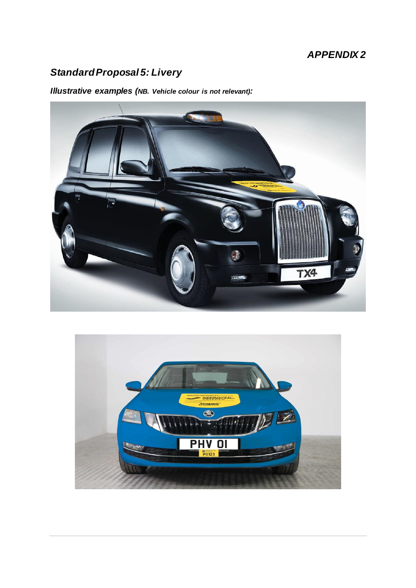### *APPENDIX 2*

## *Standard Proposal 5: Livery*

*Illustrative examples (NB. Vehicle colour is not relevant):*



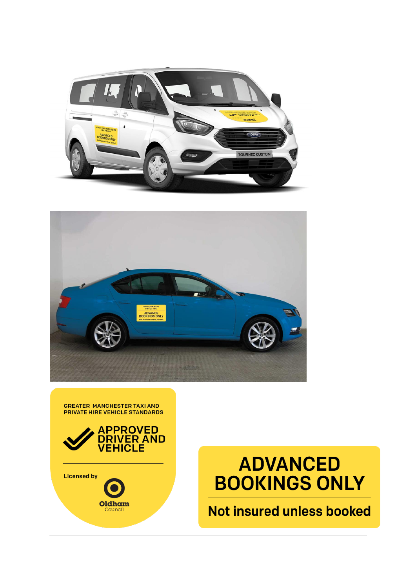



GREATER MANCHESTER TAXI AND<br>PRIVATE HIRE VEHICLE STANDARDS



Oldham

Council

**Licensed by** 



**Not insured unless booked**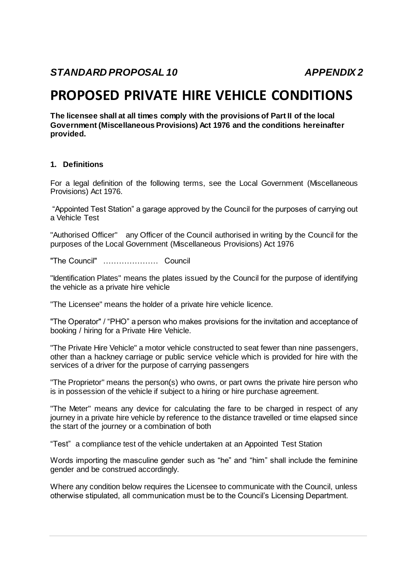## **PROPOSED PRIVATE HIRE VEHICLE CONDITIONS**

**The licensee shall at all times comply with the provisions of Part II of the local Government (Miscellaneous Provisions) Act 1976 and the conditions hereinafter provided.** 

#### **1. Definitions**

For a legal definition of the following terms, see the Local Government (Miscellaneous Provisions) Act 1976.

"Appointed Test Station" a garage approved by the Council for the purposes of carrying out a Vehicle Test

"Authorised Officer" any Officer of the Council authorised in writing by the Council for the purposes of the Local Government (Miscellaneous Provisions) Act 1976

"The Council" ………………… Council

"Identification Plates" means the plates issued by the Council for the purpose of identifying the vehicle as a private hire vehicle

"The Licensee" means the holder of a private hire vehicle licence.

"The Operator" / "PHO" a person who makes provisions for the invitation and acceptance of booking / hiring for a Private Hire Vehicle.

"The Private Hire Vehicle" a motor vehicle constructed to seat fewer than nine passengers, other than a hackney carriage or public service vehicle which is provided for hire with the services of a driver for the purpose of carrying passengers

"The Proprietor" means the person(s) who owns, or part owns the private hire person who is in possession of the vehicle if subject to a hiring or hire purchase agreement.

"The Meter" means any device for calculating the fare to be charged in respect of any journey in a private hire vehicle by reference to the distance travelled or time elapsed since the start of the journey or a combination of both

"Test" a compliance test of the vehicle undertaken at an Appointed Test Station

Words importing the masculine gender such as "he" and "him" shall include the feminine gender and be construed accordingly.

Where any condition below requires the Licensee to communicate with the Council, unless otherwise stipulated, all communication must be to the Council's Licensing Department.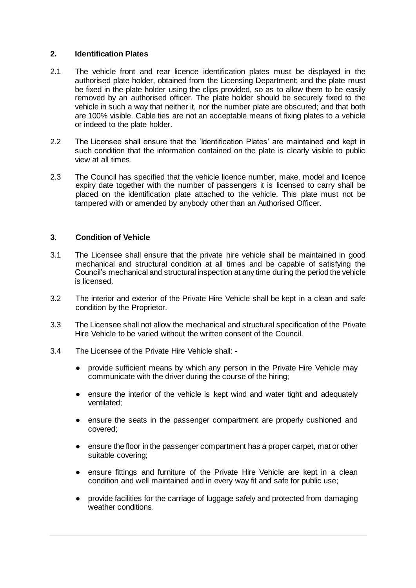#### **2. Identification Plates**

- 2.1 The vehicle front and rear licence identification plates must be displayed in the authorised plate holder, obtained from the Licensing Department; and the plate must be fixed in the plate holder using the clips provided, so as to allow them to be easily removed by an authorised officer. The plate holder should be securely fixed to the vehicle in such a way that neither it, nor the number plate are obscured; and that both are 100% visible. Cable ties are not an acceptable means of fixing plates to a vehicle or indeed to the plate holder.
- 2.2 The Licensee shall ensure that the 'Identification Plates' are maintained and kept in such condition that the information contained on the plate is clearly visible to public view at all times.
- 2.3 The Council has specified that the vehicle licence number, make, model and licence expiry date together with the number of passengers it is licensed to carry shall be placed on the identification plate attached to the vehicle. This plate must not be tampered with or amended by anybody other than an Authorised Officer.

#### **3. Condition of Vehicle**

- 3.1 The Licensee shall ensure that the private hire vehicle shall be maintained in good mechanical and structural condition at all times and be capable of satisfying the Council's mechanical and structural inspection at any time during the period the vehicle is licensed.
- 3.2 The interior and exterior of the Private Hire Vehicle shall be kept in a clean and safe condition by the Proprietor.
- 3.3 The Licensee shall not allow the mechanical and structural specification of the Private Hire Vehicle to be varied without the written consent of the Council.
- 3.4 The Licensee of the Private Hire Vehicle shall:
	- provide sufficient means by which any person in the Private Hire Vehicle may communicate with the driver during the course of the hiring;
	- ensure the interior of the vehicle is kept wind and water tight and adequately ventilated;
	- ensure the seats in the passenger compartment are properly cushioned and covered;
	- ensure the floor in the passenger compartment has a proper carpet, mat or other suitable covering;
	- ensure fittings and furniture of the Private Hire Vehicle are kept in a clean condition and well maintained and in every way fit and safe for public use;
	- provide facilities for the carriage of luggage safely and protected from damaging weather conditions.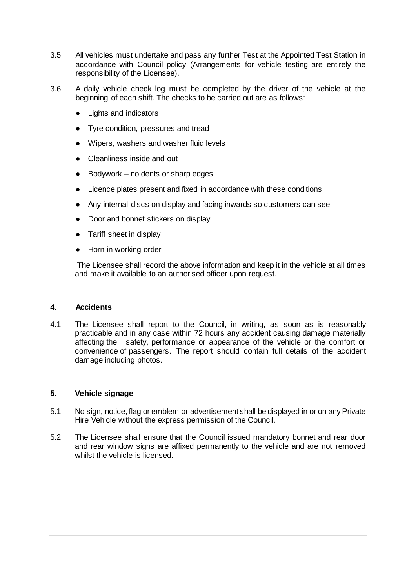- 3.5 All vehicles must undertake and pass any further Test at the Appointed Test Station in accordance with Council policy (Arrangements for vehicle testing are entirely the responsibility of the Licensee).
- 3.6 A daily vehicle check log must be completed by the driver of the vehicle at the beginning of each shift. The checks to be carried out are as follows:
	- Lights and indicators
	- Tyre condition, pressures and tread
	- Wipers, washers and washer fluid levels
	- Cleanliness inside and out
	- Bodywork no dents or sharp edges
	- Licence plates present and fixed in accordance with these conditions
	- Any internal discs on display and facing inwards so customers can see.
	- Door and bonnet stickers on display
	- Tariff sheet in display
	- Horn in working order

The Licensee shall record the above information and keep it in the vehicle at all times and make it available to an authorised officer upon request.

#### **4. Accidents**

4.1 The Licensee shall report to the Council, in writing, as soon as is reasonably practicable and in any case within 72 hours any accident causing damage materially affecting the safety, performance or appearance of the vehicle or the comfort or convenience of passengers. The report should contain full details of the accident damage including photos.

#### **5. Vehicle signage**

- 5.1 No sign, notice, flag or emblem or advertisement shall be displayed in or on any Private Hire Vehicle without the express permission of the Council.
- 5.2 The Licensee shall ensure that the Council issued mandatory bonnet and rear door and rear window signs are affixed permanently to the vehicle and are not removed whilst the vehicle is licensed.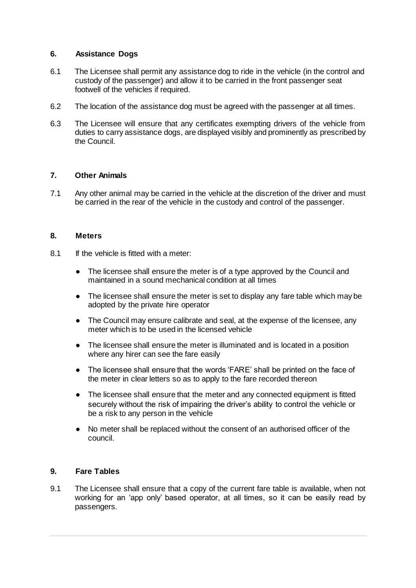#### **6. Assistance Dogs**

- 6.1 The Licensee shall permit any assistance dog to ride in the vehicle (in the control and custody of the passenger) and allow it to be carried in the front passenger seat footwell of the vehicles if required.
- 6.2 The location of the assistance dog must be agreed with the passenger at all times.
- 6.3 The Licensee will ensure that any certificates exempting drivers of the vehicle from duties to carry assistance dogs, are displayed visibly and prominently as prescribed by the Council.

#### **7. Other Animals**

7.1 Any other animal may be carried in the vehicle at the discretion of the driver and must be carried in the rear of the vehicle in the custody and control of the passenger.

#### **8. Meters**

- 8.1 If the vehicle is fitted with a meter:
	- The licensee shall ensure the meter is of a type approved by the Council and maintained in a sound mechanical condition at all times
	- The licensee shall ensure the meter is set to display any fare table which may be adopted by the private hire operator
	- The Council may ensure calibrate and seal, at the expense of the licensee, any meter which is to be used in the licensed vehicle
	- The licensee shall ensure the meter is illuminated and is located in a position where any hirer can see the fare easily
	- The licensee shall ensure that the words 'FARE' shall be printed on the face of the meter in clear letters so as to apply to the fare recorded thereon
	- The licensee shall ensure that the meter and any connected equipment is fitted securely without the risk of impairing the driver's ability to control the vehicle or be a risk to any person in the vehicle
	- No meter shall be replaced without the consent of an authorised officer of the council.

#### **9. Fare Tables**

9.1 The Licensee shall ensure that a copy of the current fare table is available, when not working for an 'app only' based operator, at all times, so it can be easily read by passengers.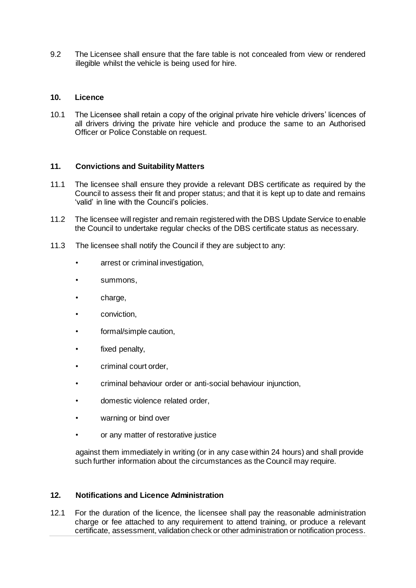9.2 The Licensee shall ensure that the fare table is not concealed from view or rendered illegible whilst the vehicle is being used for hire.

#### **10. Licence**

10.1 The Licensee shall retain a copy of the original private hire vehicle drivers' licences of all drivers driving the private hire vehicle and produce the same to an Authorised Officer or Police Constable on request.

#### **11. Convictions and Suitability Matters**

- 11.1 The licensee shall ensure they provide a relevant DBS certificate as required by the Council to assess their fit and proper status; and that it is kept up to date and remains 'valid' in line with the Council's policies.
- 11.2 The licensee will register and remain registered with the DBS Update Service to enable the Council to undertake regular checks of the DBS certificate status as necessary.
- 11.3 The licensee shall notify the Council if they are subject to any:
	- arrest or criminal investigation,
	- summons,
	- charge,
	- conviction,
	- formal/simple caution,
	- fixed penalty,
	- criminal court order,
	- criminal behaviour order or anti-social behaviour injunction,
	- domestic violence related order,
	- warning or bind over
	- or any matter of restorative justice

against them immediately in writing (or in any case within 24 hours) and shall provide such further information about the circumstances as the Council may require.

#### **12. Notifications and Licence Administration**

12.1 For the duration of the licence, the licensee shall pay the reasonable administration charge or fee attached to any requirement to attend training, or produce a relevant certificate, assessment, validation check or other administration or notification process.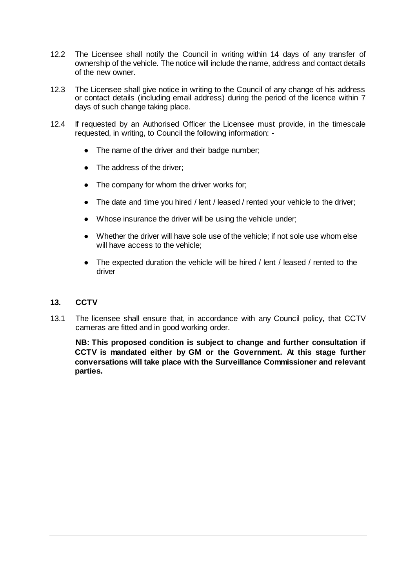- 12.2 The Licensee shall notify the Council in writing within 14 days of any transfer of ownership of the vehicle. The notice will include the name, address and contact details of the new owner.
- 12.3 The Licensee shall give notice in writing to the Council of any change of his address or contact details (including email address) during the period of the licence within 7 days of such change taking place.
- 12.4 If requested by an Authorised Officer the Licensee must provide, in the timescale requested, in writing, to Council the following information: -
	- The name of the driver and their badge number;
	- The address of the driver:
	- The company for whom the driver works for;
	- The date and time you hired / lent / leased / rented your vehicle to the driver;
	- Whose insurance the driver will be using the vehicle under;
	- Whether the driver will have sole use of the vehicle; if not sole use whom else will have access to the vehicle:
	- The expected duration the vehicle will be hired / lent / leased / rented to the driver

#### **13. CCTV**

13.1 The licensee shall ensure that, in accordance with any Council policy, that CCTV cameras are fitted and in good working order.

**NB: This proposed condition is subject to change and further consultation if CCTV is mandated either by GM or the Government. At this stage further conversations will take place with the Surveillance Commissioner and relevant parties.**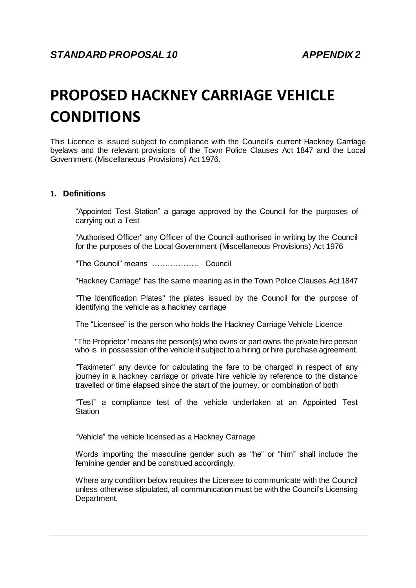# **PROPOSED HACKNEY CARRIAGE VEHICLE CONDITIONS**

This Licence is issued subject to compliance with the Council's current Hackney Carriage byelaws and the relevant provisions of the Town Police Clauses Act 1847 and the Local Government (Miscellaneous Provisions) Act 1976.

#### **1. Definitions**

"Appointed Test Station" a garage approved by the Council for the purposes of carrying out a Test

"Authorised Officer" any Officer of the Council authorised in writing by the Council for the purposes of the Local Government (Miscellaneous Provisions) Act 1976

"The Council" means ……………… Council

"Hackney Carriage" has the same meaning as in the Town Police Clauses Act 1847

"The Identification Plates" the plates issued by the Council for the purpose of identifying the vehicle as a hackney carriage

The "Licensee" is the person who holds the Hackney Carriage Vehicle Licence

"The Proprietor" means the person(s) who owns or part owns the private hire person who is in possession of the vehicle if subject to a hiring or hire purchase agreement.

"Taximeter" any device for calculating the fare to be charged in respect of any journey in a hackney carriage or private hire vehicle by reference to the distance travelled or time elapsed since the start of the journey, or combination of both

"Test" a compliance test of the vehicle undertaken at an Appointed Test **Station** 

"Vehicle" the vehicle licensed as a Hackney Carriage

Words importing the masculine gender such as "he" or "him" shall include the feminine gender and be construed accordingly.

Where any condition below requires the Licensee to communicate with the Council unless otherwise stipulated, all communication must be with the Council's Licensing Department.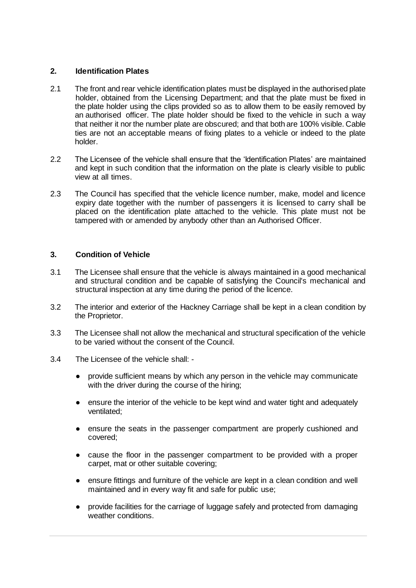#### **2. Identification Plates**

- 2.1 The front and rear vehicle identification plates must be displayed in the authorised plate holder, obtained from the Licensing Department; and that the plate must be fixed in the plate holder using the clips provided so as to allow them to be easily removed by an authorised officer. The plate holder should be fixed to the vehicle in such a way that neither it nor the number plate are obscured; and that both are 100% visible. Cable ties are not an acceptable means of fixing plates to a vehicle or indeed to the plate holder.
- 2.2 The Licensee of the vehicle shall ensure that the 'Identification Plates' are maintained and kept in such condition that the information on the plate is clearly visible to public view at all times.
- 2.3 The Council has specified that the vehicle licence number, make, model and licence expiry date together with the number of passengers it is licensed to carry shall be placed on the identification plate attached to the vehicle. This plate must not be tampered with or amended by anybody other than an Authorised Officer.

#### **3. Condition of Vehicle**

- 3.1 The Licensee shall ensure that the vehicle is always maintained in a good mechanical and structural condition and be capable of satisfying the Council's mechanical and structural inspection at any time during the period of the licence.
- 3.2 The interior and exterior of the Hackney Carriage shall be kept in a clean condition by the Proprietor.
- 3.3 The Licensee shall not allow the mechanical and structural specification of the vehicle to be varied without the consent of the Council.
- 3.4 The Licensee of the vehicle shall:
	- provide sufficient means by which any person in the vehicle may communicate with the driver during the course of the hiring;
	- ensure the interior of the vehicle to be kept wind and water tight and adequately ventilated;
	- ensure the seats in the passenger compartment are properly cushioned and covered;
	- cause the floor in the passenger compartment to be provided with a proper carpet, mat or other suitable covering;
	- ensure fittings and furniture of the vehicle are kept in a clean condition and well maintained and in every way fit and safe for public use;
	- provide facilities for the carriage of luggage safely and protected from damaging weather conditions.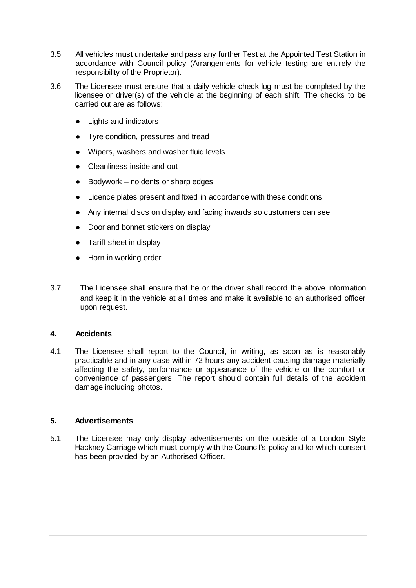- 3.5 All vehicles must undertake and pass any further Test at the Appointed Test Station in accordance with Council policy (Arrangements for vehicle testing are entirely the responsibility of the Proprietor).
- 3.6 The Licensee must ensure that a daily vehicle check log must be completed by the licensee or driver(s) of the vehicle at the beginning of each shift. The checks to be carried out are as follows:
	- **Lights and indicators**
	- Tyre condition, pressures and tread
	- Wipers, washers and washer fluid levels
	- Cleanliness inside and out
	- $B$ odywork no dents or sharp edges
	- Licence plates present and fixed in accordance with these conditions
	- Any internal discs on display and facing inwards so customers can see.
	- Door and bonnet stickers on display
	- Tariff sheet in display
	- Horn in working order
- 3.7 The Licensee shall ensure that he or the driver shall record the above information and keep it in the vehicle at all times and make it available to an authorised officer upon request.

#### **4. Accidents**

4.1 The Licensee shall report to the Council, in writing, as soon as is reasonably practicable and in any case within 72 hours any accident causing damage materially affecting the safety, performance or appearance of the vehicle or the comfort or convenience of passengers. The report should contain full details of the accident damage including photos.

#### **5. Advertisements**

5.1 The Licensee may only display advertisements on the outside of a London Style Hackney Carriage which must comply with the Council's policy and for which consent has been provided by an Authorised Officer.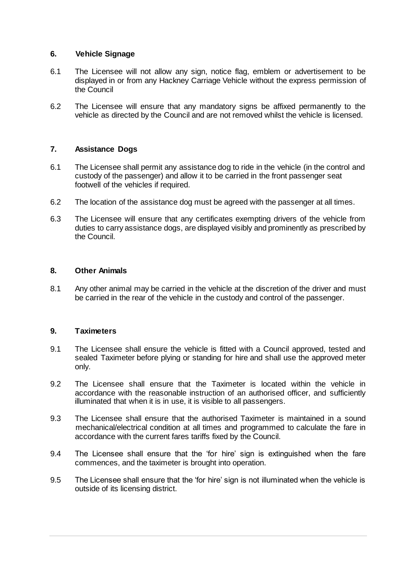#### **6. Vehicle Signage**

- 6.1 The Licensee will not allow any sign, notice flag, emblem or advertisement to be displayed in or from any Hackney Carriage Vehicle without the express permission of the Council
- 6.2 The Licensee will ensure that any mandatory signs be affixed permanently to the vehicle as directed by the Council and are not removed whilst the vehicle is licensed.

#### **7. Assistance Dogs**

- 6.1 The Licensee shall permit any assistance dog to ride in the vehicle (in the control and custody of the passenger) and allow it to be carried in the front passenger seat footwell of the vehicles if required.
- 6.2 The location of the assistance dog must be agreed with the passenger at all times.
- 6.3 The Licensee will ensure that any certificates exempting drivers of the vehicle from duties to carry assistance dogs, are displayed visibly and prominently as prescribed by the Council.

#### **8. Other Animals**

8.1 Any other animal may be carried in the vehicle at the discretion of the driver and must be carried in the rear of the vehicle in the custody and control of the passenger.

#### **9. Taximeters**

- 9.1 The Licensee shall ensure the vehicle is fitted with a Council approved, tested and sealed Taximeter before plying or standing for hire and shall use the approved meter only.
- 9.2 The Licensee shall ensure that the Taximeter is located within the vehicle in accordance with the reasonable instruction of an authorised officer, and sufficiently illuminated that when it is in use, it is visible to all passengers.
- 9.3 The Licensee shall ensure that the authorised Taximeter is maintained in a sound mechanical/electrical condition at all times and programmed to calculate the fare in accordance with the current fares tariffs fixed by the Council.
- 9.4 The Licensee shall ensure that the 'for hire' sign is extinguished when the fare commences, and the taximeter is brought into operation.
- 9.5 The Licensee shall ensure that the 'for hire' sign is not illuminated when the vehicle is outside of its licensing district.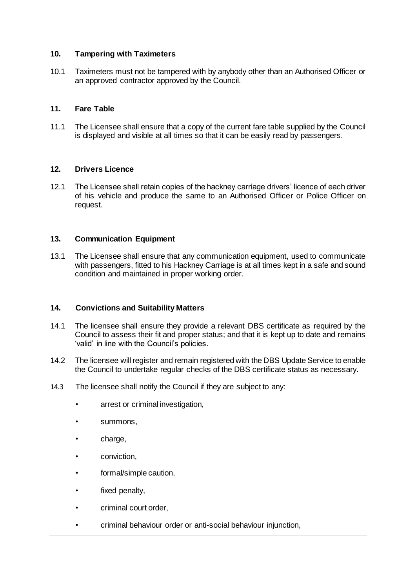#### **10. Tampering with Taximeters**

10.1 Taximeters must not be tampered with by anybody other than an Authorised Officer or an approved contractor approved by the Council.

#### **11. Fare Table**

11.1 The Licensee shall ensure that a copy of the current fare table supplied by the Council is displayed and visible at all times so that it can be easily read by passengers.

#### **12. Drivers Licence**

12.1 The Licensee shall retain copies of the hackney carriage drivers' licence of each driver of his vehicle and produce the same to an Authorised Officer or Police Officer on request.

#### **13. Communication Equipment**

13.1 The Licensee shall ensure that any communication equipment, used to communicate with passengers, fitted to his Hackney Carriage is at all times kept in a safe and sound condition and maintained in proper working order.

#### **14. Convictions and Suitability Matters**

- 14.1 The licensee shall ensure they provide a relevant DBS certificate as required by the Council to assess their fit and proper status; and that it is kept up to date and remains 'valid' in line with the Council's policies.
- 14.2 The licensee will register and remain registered with the DBS Update Service to enable the Council to undertake regular checks of the DBS certificate status as necessary.
- 14.3 The licensee shall notify the Council if they are subject to any:
	- arrest or criminal investigation,
	- summons,
	- charge,
	- conviction.
	- formal/simple caution,
	- fixed penalty,
	- criminal court order,
	- criminal behaviour order or anti-social behaviour injunction,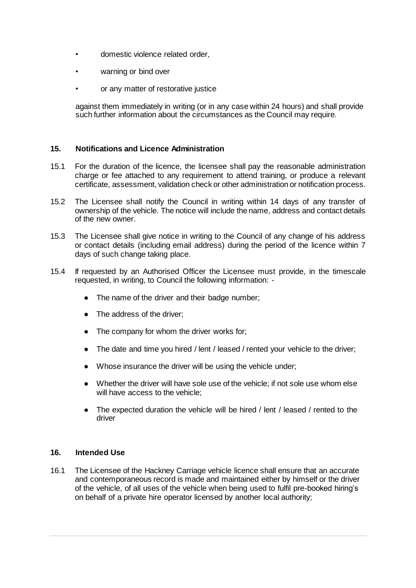- domestic violence related order,
- warning or bind over
- or any matter of restorative justice

against them immediately in writing (or in any case within 24 hours) and shall provide such further information about the circumstances as the Council may require.

#### **15. Notifications and Licence Administration**

- 15.1 For the duration of the licence, the licensee shall pay the reasonable administration charge or fee attached to any requirement to attend training, or produce a relevant certificate, assessment, validation check or other administration or notification process.
- 15.2 The Licensee shall notify the Council in writing within 14 days of any transfer of ownership of the vehicle. The notice will include the name, address and contact details of the new owner.
- 15.3 The Licensee shall give notice in writing to the Council of any change of his address or contact details (including email address) during the period of the licence within 7 days of such change taking place.
- 15.4 If requested by an Authorised Officer the Licensee must provide, in the timescale requested, in writing, to Council the following information: -
	- The name of the driver and their badge number;
	- The address of the driver;
	- The company for whom the driver works for;
	- The date and time you hired / lent / leased / rented your vehicle to the driver;
	- Whose insurance the driver will be using the vehicle under;
	- Whether the driver will have sole use of the vehicle; if not sole use whom else will have access to the vehicle;
	- The expected duration the vehicle will be hired / lent / leased / rented to the driver

#### **16. Intended Use**

16.1 The Licensee of the Hackney Carriage vehicle licence shall ensure that an accurate and contemporaneous record is made and maintained either by himself or the driver of the vehicle, of all uses of the vehicle when being used to fulfil pre-booked hiring's on behalf of a private hire operator licensed by another local authority;